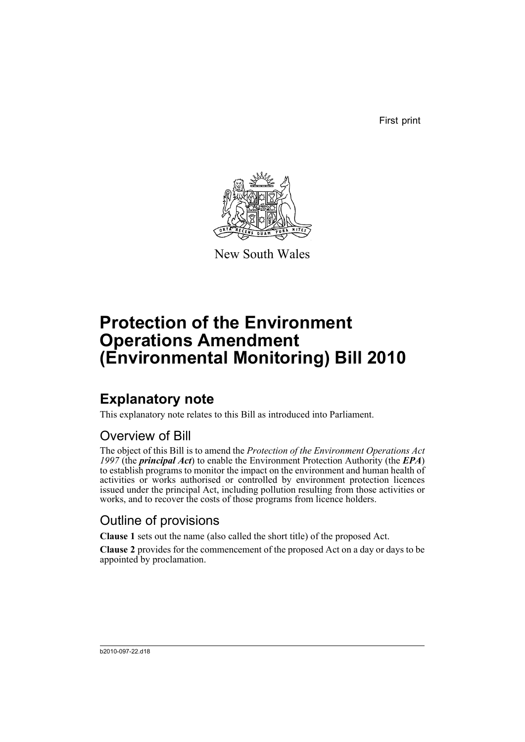First print



New South Wales

# **Protection of the Environment Operations Amendment (Environmental Monitoring) Bill 2010**

# **Explanatory note**

This explanatory note relates to this Bill as introduced into Parliament.

## Overview of Bill

The object of this Bill is to amend the *Protection of the Environment Operations Act 1997* (the *principal Act*) to enable the Environment Protection Authority (the *EPA*) to establish programs to monitor the impact on the environment and human health of activities or works authorised or controlled by environment protection licences issued under the principal Act, including pollution resulting from those activities or works, and to recover the costs of those programs from licence holders.

## Outline of provisions

**Clause 1** sets out the name (also called the short title) of the proposed Act.

**Clause 2** provides for the commencement of the proposed Act on a day or days to be appointed by proclamation.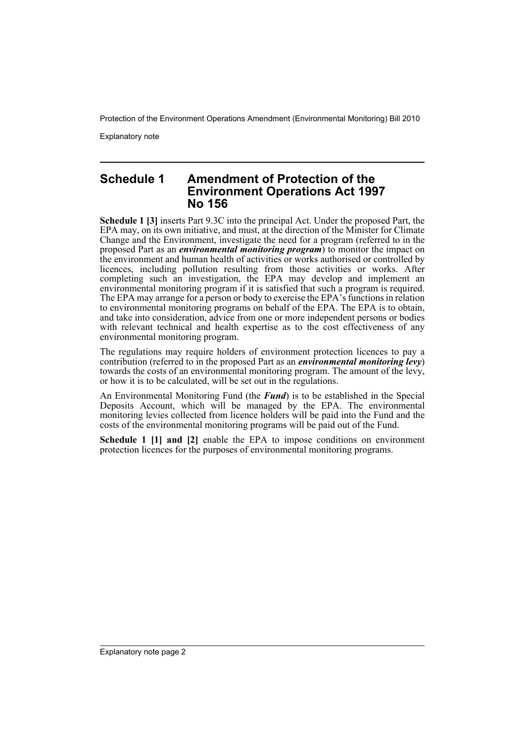Protection of the Environment Operations Amendment (Environmental Monitoring) Bill 2010

Explanatory note

### **Schedule 1 Amendment of Protection of the Environment Operations Act 1997 No 156**

**Schedule 1 [3]** inserts Part 9.3C into the principal Act. Under the proposed Part, the EPA may, on its own initiative, and must, at the direction of the Minister for Climate Change and the Environment, investigate the need for a program (referred to in the proposed Part as an *environmental monitoring program*) to monitor the impact on the environment and human health of activities or works authorised or controlled by licences, including pollution resulting from those activities or works. After completing such an investigation, the EPA may develop and implement an environmental monitoring program if it is satisfied that such a program is required. The EPA may arrange for a person or body to exercise the EPA's functions in relation to environmental monitoring programs on behalf of the EPA. The EPA is to obtain, and take into consideration, advice from one or more independent persons or bodies with relevant technical and health expertise as to the cost effectiveness of any environmental monitoring program.

The regulations may require holders of environment protection licences to pay a contribution (referred to in the proposed Part as an *environmental monitoring levy*) towards the costs of an environmental monitoring program. The amount of the levy, or how it is to be calculated, will be set out in the regulations.

An Environmental Monitoring Fund (the *Fund*) is to be established in the Special Deposits Account, which will be managed by the EPA. The environmental monitoring levies collected from licence holders will be paid into the Fund and the costs of the environmental monitoring programs will be paid out of the Fund.

**Schedule 1 [1] and [2]** enable the EPA to impose conditions on environment protection licences for the purposes of environmental monitoring programs.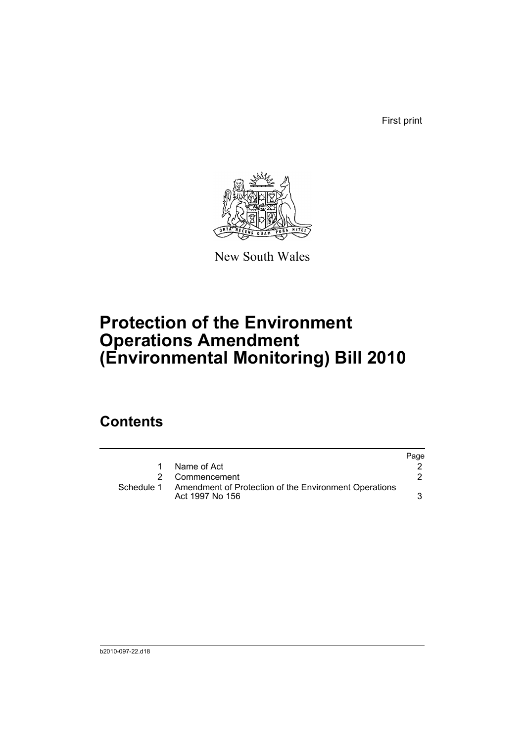First print



New South Wales

# **Protection of the Environment Operations Amendment (Environmental Monitoring) Bill 2010**

## **Contents**

|   |                                                                                     | Page |
|---|-------------------------------------------------------------------------------------|------|
| 1 | Name of Act                                                                         |      |
|   | 2 Commencement                                                                      |      |
|   | Schedule 1 Amendment of Protection of the Environment Operations<br>Act 1997 No 156 |      |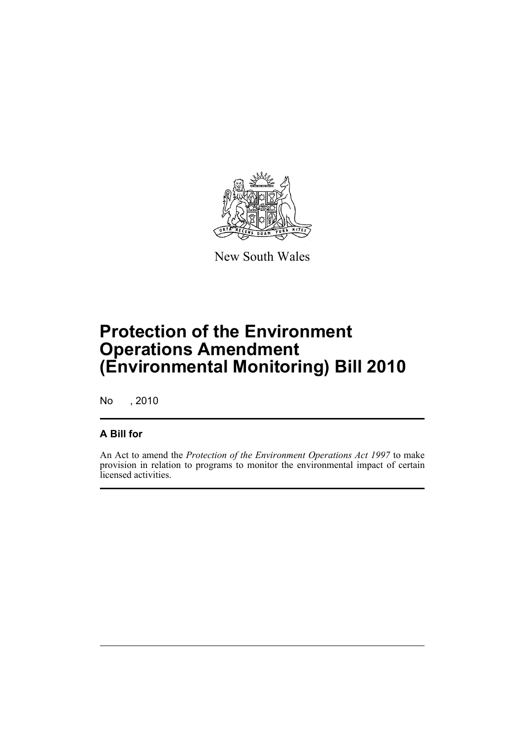

New South Wales

# **Protection of the Environment Operations Amendment (Environmental Monitoring) Bill 2010**

No , 2010

### **A Bill for**

An Act to amend the *Protection of the Environment Operations Act 1997* to make provision in relation to programs to monitor the environmental impact of certain licensed activities.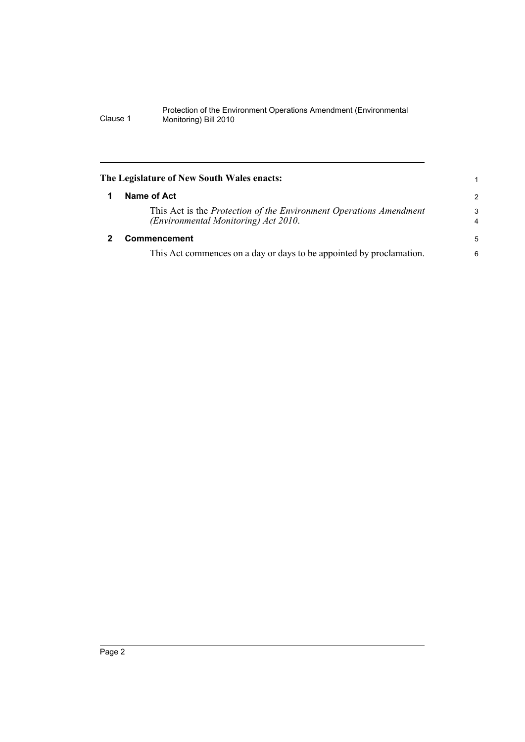#### Protection of the Environment Operations Amendment (Environmental Clause 1 Monitoring) Bill 2010

<span id="page-5-1"></span><span id="page-5-0"></span>

| The Legislature of New South Wales enacts: |                                                                                                            |                     |
|--------------------------------------------|------------------------------------------------------------------------------------------------------------|---------------------|
|                                            | Name of Act                                                                                                | $\overline{2}$      |
|                                            | This Act is the Protection of the Environment Operations Amendment<br>(Environmental Monitoring) Act 2010. | 3<br>$\overline{4}$ |
|                                            | <b>Commencement</b>                                                                                        | 5                   |
|                                            | This Act commences on a day or days to be appointed by proclamation.                                       | 6                   |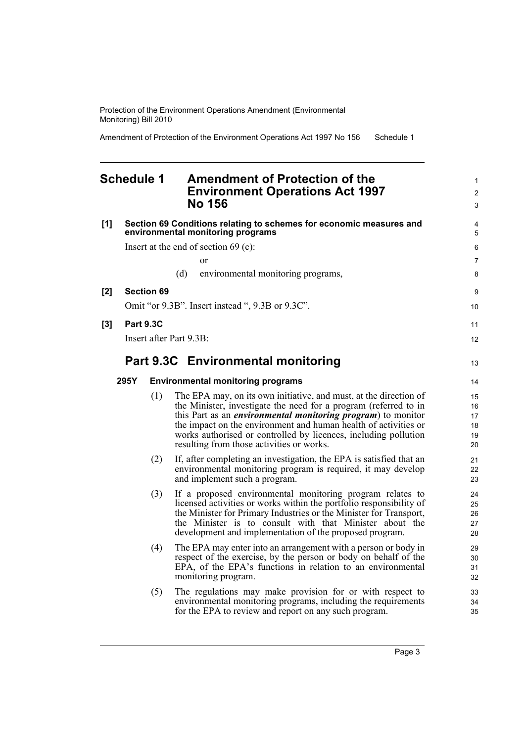Protection of the Environment Operations Amendment (Environmental Monitoring) Bill 2010

Amendment of Protection of the Environment Operations Act 1997 No 156 Schedule 1

### <span id="page-6-0"></span>**Schedule 1 Amendment of Protection of the Environment Operations Act 1997 No 156**

| [1] | Section 69 Conditions relating to schemes for economic measures and<br>environmental monitoring programs |  |  |  |
|-----|----------------------------------------------------------------------------------------------------------|--|--|--|
|     | Insert at the end of section $69$ (c):                                                                   |  |  |  |
|     | or                                                                                                       |  |  |  |
|     | environmental monitoring programs,<br>(d)                                                                |  |  |  |
| [2] | <b>Section 69</b>                                                                                        |  |  |  |
|     | Omit "or 9.3B". Insert instead ", 9.3B or 9.3C".                                                         |  |  |  |
| [3] | <b>Part 9.3C</b>                                                                                         |  |  |  |
|     | Insert after Part 9 $3B$                                                                                 |  |  |  |
|     | <b>Part 9.3C</b> Environmental monitoring                                                                |  |  |  |
|     | <b>Environmental monitoring programs</b><br>295Y                                                         |  |  |  |

- (1) The EPA may, on its own initiative, and must, at the direction of the Minister, investigate the need for a program (referred to in this Part as an *environmental monitoring program*) to monitor the impact on the environment and human health of activities or works authorised or controlled by licences, including pollution resulting from those activities or works.
- (2) If, after completing an investigation, the EPA is satisfied that an environmental monitoring program is required, it may develop and implement such a program.
- (3) If a proposed environmental monitoring program relates to licensed activities or works within the portfolio responsibility of the Minister for Primary Industries or the Minister for Transport, the Minister is to consult with that Minister about the development and implementation of the proposed program.
- (4) The EPA may enter into an arrangement with a person or body in respect of the exercise, by the person or body on behalf of the EPA, of the EPA's functions in relation to an environmental monitoring program.
- (5) The regulations may make provision for or with respect to environmental monitoring programs, including the requirements for the EPA to review and report on any such program.

1 2 3

11 12

13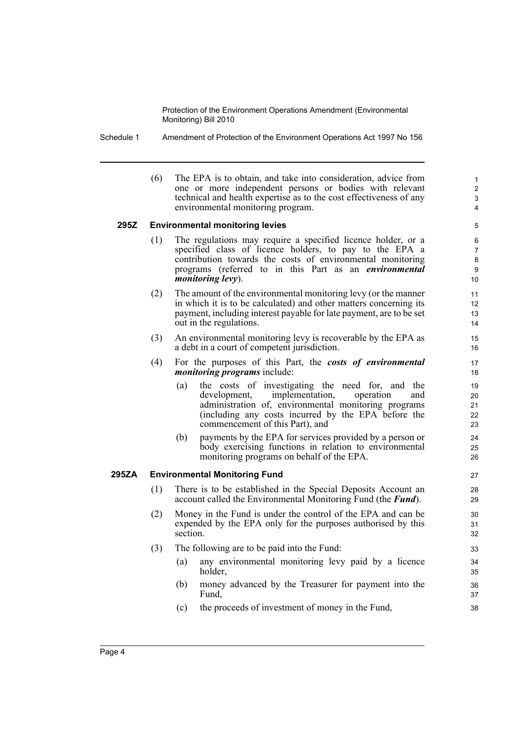Protection of the Environment Operations Amendment (Environmental Monitoring) Bill 2010

Schedule 1 Amendment of Protection of the Environment Operations Act 1997 No 156

(6) The EPA is to obtain, and take into consideration, advice from one or more independent persons or bodies with relevant technical and health expertise as to the cost effectiveness of any environmental monitoring program.

#### **295Z Environmental monitoring levies**

- (1) The regulations may require a specified licence holder, or a specified class of licence holders, to pay to the EPA a contribution towards the costs of environmental monitoring programs (referred to in this Part as an *environmental monitoring levy*).
- (2) The amount of the environmental monitoring levy (or the manner in which it is to be calculated) and other matters concerning its payment, including interest payable for late payment, are to be set out in the regulations.
- (3) An environmental monitoring levy is recoverable by the EPA as a debt in a court of competent jurisdiction.
- (4) For the purposes of this Part, the *costs of environmental monitoring programs* include:
	- (a) the costs of investigating the need for, and the development, implementation, operation and administration of, environmental monitoring programs (including any costs incurred by the EPA before the commencement of this Part), and
	- (b) payments by the EPA for services provided by a person or body exercising functions in relation to environmental monitoring programs on behalf of the EPA.

#### **295ZA Environmental Monitoring Fund**

- (1) There is to be established in the Special Deposits Account an account called the Environmental Monitoring Fund (the *Fund*).
- (2) Money in the Fund is under the control of the EPA and can be expended by the EPA only for the purposes authorised by this section.
- (3) The following are to be paid into the Fund:
	- (a) any environmental monitoring levy paid by a licence holder,
	- (b) money advanced by the Treasurer for payment into the Fund.
	- (c) the proceeds of investment of money in the Fund,